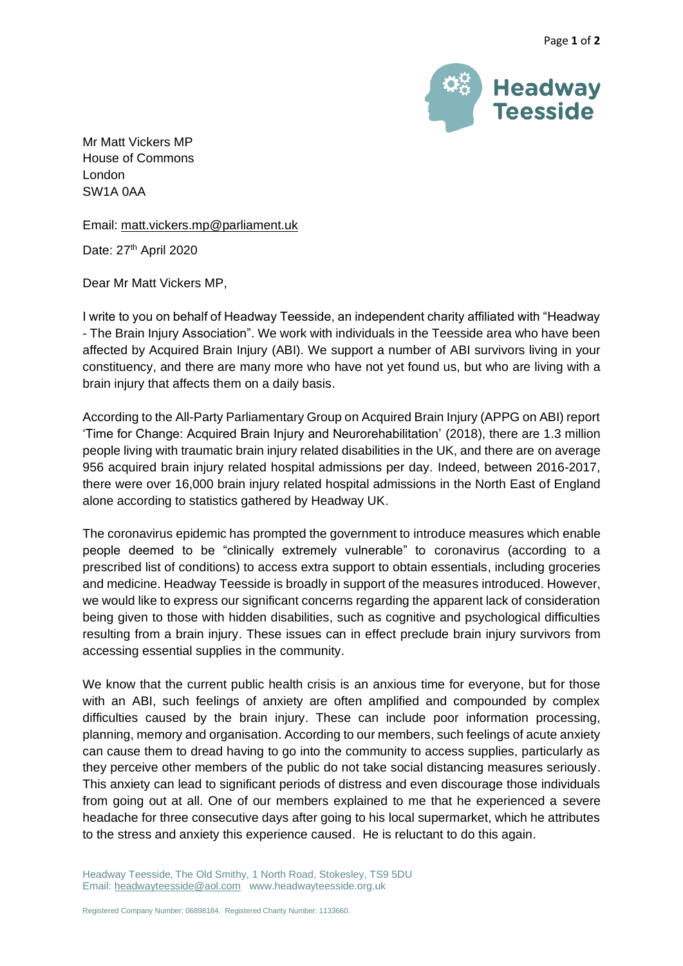

Mr Matt Vickers MP House of Commons London SW1A 0AA

Email: [matt.vickers.mp@parliament.uk](mailto:matt.vickers.mp@parliament.uk)

Date: 27<sup>th</sup> April 2020

Dear Mr Matt Vickers MP,

I write to you on behalf of Headway Teesside, an independent charity affiliated with "Headway - The Brain Injury Association". We work with individuals in the Teesside area who have been affected by Acquired Brain Injury (ABI). We support a number of ABI survivors living in your constituency, and there are many more who have not yet found us, but who are living with a brain injury that affects them on a daily basis.

According to the All-Party Parliamentary Group on Acquired Brain Injury (APPG on ABI) report 'Time for Change: Acquired Brain Injury and Neurorehabilitation' (2018), there are 1.3 million people living with traumatic brain injury related disabilities in the UK, and there are on average 956 acquired brain injury related hospital admissions per day. Indeed, between 2016-2017, there were over 16,000 brain injury related hospital admissions in the North East of England alone according to statistics gathered by Headway UK.

The coronavirus epidemic has prompted the government to introduce measures which enable people deemed to be "clinically extremely vulnerable" to coronavirus (according to a prescribed list of conditions) to access extra support to obtain essentials, including groceries and medicine. Headway Teesside is broadly in support of the measures introduced. However, we would like to express our significant concerns regarding the apparent lack of consideration being given to those with hidden disabilities, such as cognitive and psychological difficulties resulting from a brain injury. These issues can in effect preclude brain injury survivors from accessing essential supplies in the community.

We know that the current public health crisis is an anxious time for everyone, but for those with an ABI, such feelings of anxiety are often amplified and compounded by complex difficulties caused by the brain injury. These can include poor information processing, planning, memory and organisation. According to our members, such feelings of acute anxiety can cause them to dread having to go into the community to access supplies, particularly as they perceive other members of the public do not take social distancing measures seriously. This anxiety can lead to significant periods of distress and even discourage those individuals from going out at all. One of our members explained to me that he experienced a severe headache for three consecutive days after going to his local supermarket, which he attributes to the stress and anxiety this experience caused. He is reluctant to do this again.

Headway Teesside, The Old Smithy, 1 North Road, Stokesley, TS9 5DU Email[: headwayteesside@aol.com](mailto:headwayteesside@aol.com) www.headwayteesside.org.uk